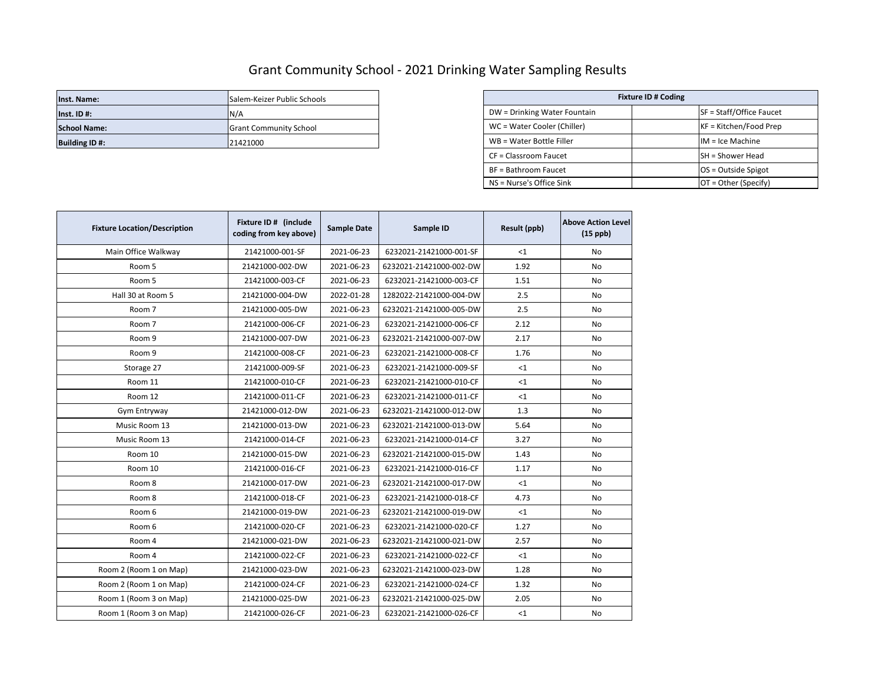## Grant Community School - 2021 Drinking Water Sampling Results

| Inst. Name:           | <b>ISalem-Keizer Public Schools</b> |                              | <b>Fixture ID # Coding</b> |                          |
|-----------------------|-------------------------------------|------------------------------|----------------------------|--------------------------|
| $Inst.$ ID #:         | IN/A                                | DW = Drinking Water Fountain |                            | SF = Staff/Office Faucet |
| <b>School Name:</b>   | <b>IGrant Community School</b>      | WC = Water Cooler (Chiller)  |                            | $KF = Kitchen/Food Prep$ |
| <b>Building ID #:</b> | 21421000                            | WB = Water Bottle Filler     |                            | $IM = Ice Machine$       |

| Salem-Keizer Public Schools   |                              | <b>Fixture ID # Coding</b> |
|-------------------------------|------------------------------|----------------------------|
| N/A                           | DW = Drinking Water Fountain | SF = Staff/Office Faucet   |
| <b>Grant Community School</b> | WC = Water Cooler (Chiller)  | $KF = Kitchen/Food Prep$   |
| 21421000                      | WB = Water Bottle Filler     | $IM = Ice Machine$         |
|                               | CF = Classroom Faucet        | SH = Shower Head           |
|                               | BF = Bathroom Faucet         | $OS = Outside Spigot$      |
|                               | NS = Nurse's Office Sink     | $OT = Other(Specify)$      |

| <b>Fixture Location/Description</b> | Fixture ID # (include<br>coding from key above) | <b>Sample Date</b> | Sample ID               | Result (ppb) | <b>Above Action Level</b><br>$(15$ ppb) |
|-------------------------------------|-------------------------------------------------|--------------------|-------------------------|--------------|-----------------------------------------|
| Main Office Walkway                 | 21421000-001-SF                                 | 2021-06-23         | 6232021-21421000-001-SF | $<$ 1        | No                                      |
| Room 5                              | 21421000-002-DW                                 | 2021-06-23         | 6232021-21421000-002-DW | 1.92         | N <sub>o</sub>                          |
| Room 5                              | 21421000-003-CF                                 | 2021-06-23         | 6232021-21421000-003-CF | 1.51         | No                                      |
| Hall 30 at Room 5                   | 21421000-004-DW                                 | 2022-01-28         | 1282022-21421000-004-DW | 2.5          | No                                      |
| Room 7                              | 21421000-005-DW                                 | 2021-06-23         | 6232021-21421000-005-DW | 2.5          | No.                                     |
| Room 7                              | 21421000-006-CF                                 | 2021-06-23         | 6232021-21421000-006-CF | 2.12         | No                                      |
| Room 9                              | 21421000-007-DW                                 | 2021-06-23         | 6232021-21421000-007-DW | 2.17         | No                                      |
| Room 9                              | 21421000-008-CF                                 | 2021-06-23         | 6232021-21421000-008-CF | 1.76         | No.                                     |
| Storage 27                          | 21421000-009-SF                                 | 2021-06-23         | 6232021-21421000-009-SF | $<$ 1        | No                                      |
| Room 11                             | 21421000-010-CF                                 | 2021-06-23         | 6232021-21421000-010-CF | <1           | No                                      |
| Room 12                             | 21421000-011-CF                                 | 2021-06-23         | 6232021-21421000-011-CF | $<$ 1        | No.                                     |
| Gym Entryway                        | 21421000-012-DW                                 | 2021-06-23         | 6232021-21421000-012-DW | 1.3          | No                                      |
| Music Room 13                       | 21421000-013-DW                                 | 2021-06-23         | 6232021-21421000-013-DW | 5.64         | No.                                     |
| Music Room 13                       | 21421000-014-CF                                 | 2021-06-23         | 6232021-21421000-014-CF | 3.27         | No                                      |
| Room 10                             | 21421000-015-DW                                 | 2021-06-23         | 6232021-21421000-015-DW | 1.43         | No                                      |
| Room 10                             | 21421000-016-CF                                 | 2021-06-23         | 6232021-21421000-016-CF | 1.17         | No                                      |
| Room 8                              | 21421000-017-DW                                 | 2021-06-23         | 6232021-21421000-017-DW | <1           | No                                      |
| Room 8                              | 21421000-018-CF                                 | 2021-06-23         | 6232021-21421000-018-CF | 4.73         | No                                      |
| Room 6                              | 21421000-019-DW                                 | 2021-06-23         | 6232021-21421000-019-DW | $<$ 1        | No                                      |
| Room 6                              | 21421000-020-CF                                 | 2021-06-23         | 6232021-21421000-020-CF | 1.27         | No                                      |
| Room 4                              | 21421000-021-DW                                 | 2021-06-23         | 6232021-21421000-021-DW | 2.57         | No                                      |
| Room 4                              | 21421000-022-CF                                 | 2021-06-23         | 6232021-21421000-022-CF | $<$ 1        | No                                      |
| Room 2 (Room 1 on Map)              | 21421000-023-DW                                 | 2021-06-23         | 6232021-21421000-023-DW | 1.28         | No                                      |
| Room 2 (Room 1 on Map)              | 21421000-024-CF                                 | 2021-06-23         | 6232021-21421000-024-CF | 1.32         | No.                                     |
| Room 1 (Room 3 on Map)              | 21421000-025-DW                                 | 2021-06-23         | 6232021-21421000-025-DW | 2.05         | No                                      |
| Room 1 (Room 3 on Map)              | 21421000-026-CF                                 | 2021-06-23         | 6232021-21421000-026-CF | $<$ 1        | No                                      |